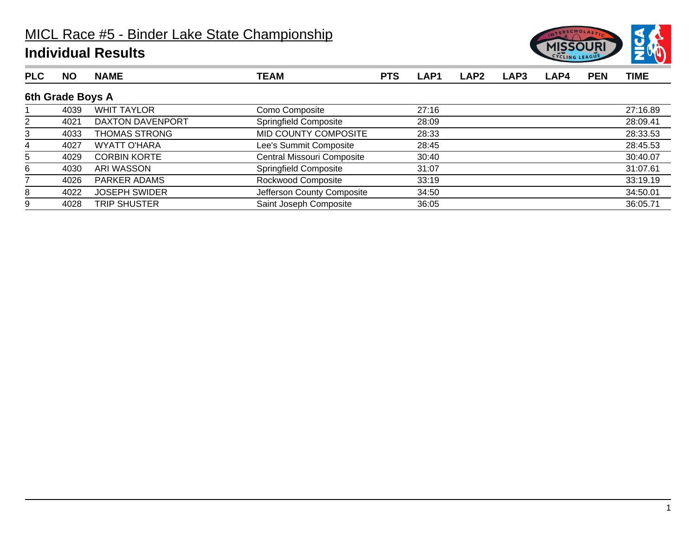

| <b>PLC</b>     | <b>NO</b>        | <b>NAME</b>          | <b>TEAM</b>                | <b>PTS</b> | LAP1  | LAP <sub>2</sub> | LAP3 | LAP4 | <b>PEN</b> | <b>TIME</b> |
|----------------|------------------|----------------------|----------------------------|------------|-------|------------------|------|------|------------|-------------|
|                | 6th Grade Boys A |                      |                            |            |       |                  |      |      |            |             |
|                | 4039             | <b>WHIT TAYLOR</b>   | Como Composite             |            | 27:16 |                  |      |      |            | 27:16.89    |
| $\overline{2}$ | 4021             | DAXTON DAVENPORT     | Springfield Composite      |            | 28:09 |                  |      |      |            | 28:09.41    |
| 3              | 4033             | THOMAS STRONG        | MID COUNTY COMPOSITE       |            | 28:33 |                  |      |      |            | 28:33.53    |
| 4              | 4027             | WYATT O'HARA         | Lee's Summit Composite     |            | 28:45 |                  |      |      |            | 28:45.53    |
| 5              | 4029             | <b>CORBIN KORTE</b>  | Central Missouri Composite |            | 30:40 |                  |      |      |            | 30:40.07    |
| 6              | 4030             | ARI WASSON           | Springfield Composite      |            | 31:07 |                  |      |      |            | 31:07.61    |
|                | 4026             | <b>PARKER ADAMS</b>  | Rockwood Composite         |            | 33:19 |                  |      |      |            | 33:19.19    |
| 8              | 4022             | <b>JOSEPH SWIDER</b> | Jefferson County Composite |            | 34:50 |                  |      |      |            | 34:50.01    |
| 9              | 4028             | <b>TRIP SHUSTER</b>  | Saint Joseph Composite     |            | 36:05 |                  |      |      |            | 36:05.71    |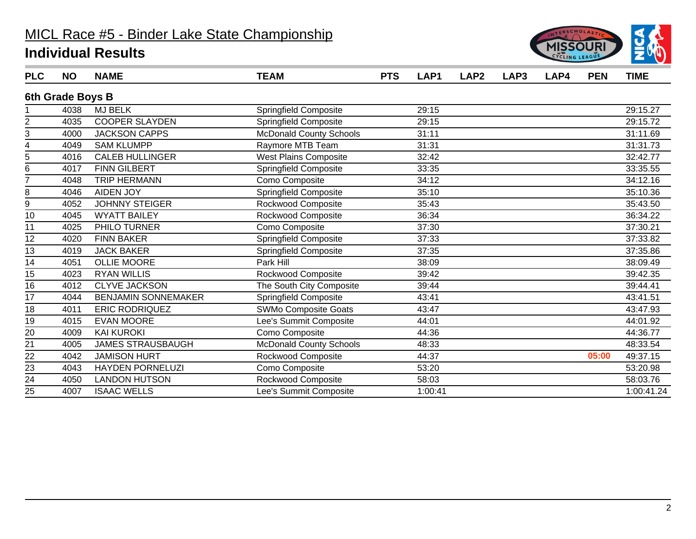

| <b>PLC</b>      | <b>NO</b>        | <b>NAME</b>                | <b>TEAM</b>                    | <b>PTS</b> | LAP1    | LAP <sub>2</sub> | LAP3 | LAP4 | <b>PEN</b> | <b>TIME</b> |
|-----------------|------------------|----------------------------|--------------------------------|------------|---------|------------------|------|------|------------|-------------|
|                 | 6th Grade Boys B |                            |                                |            |         |                  |      |      |            |             |
|                 | 4038             | <b>MJ BELK</b>             | Springfield Composite          |            | 29:15   |                  |      |      |            | 29:15.27    |
| 2               | 4035             | <b>COOPER SLAYDEN</b>      | Springfield Composite          |            | 29:15   |                  |      |      |            | 29:15.72    |
| 3               | 4000             | <b>JACKSON CAPPS</b>       | <b>McDonald County Schools</b> |            | 31:11   |                  |      |      |            | 31:11.69    |
| 4               | 4049             | <b>SAM KLUMPP</b>          | Raymore MTB Team               |            | 31:31   |                  |      |      |            | 31:31.73    |
| 5               | 4016             | <b>CALEB HULLINGER</b>     | <b>West Plains Composite</b>   |            | 32:42   |                  |      |      |            | 32:42.77    |
| 6               | 4017             | <b>FINN GILBERT</b>        | Springfield Composite          |            | 33:35   |                  |      |      |            | 33:35.55    |
| 7               | 4048             | <b>TRIP HERMANN</b>        | Como Composite                 |            | 34:12   |                  |      |      |            | 34:12.16    |
| 8               | 4046             | <b>AIDEN JOY</b>           | <b>Springfield Composite</b>   |            | 35:10   |                  |      |      |            | 35:10.36    |
| 9               | 4052             | <b>JOHNNY STEIGER</b>      | Rockwood Composite             |            | 35:43   |                  |      |      |            | 35:43.50    |
| 10              | 4045             | <b>WYATT BAILEY</b>        | Rockwood Composite             |            | 36:34   |                  |      |      |            | 36:34.22    |
| 11              | 4025             | PHILO TURNER               | Como Composite                 |            | 37:30   |                  |      |      |            | 37:30.21    |
| 12              | 4020             | <b>FINN BAKER</b>          | Springfield Composite          |            | 37:33   |                  |      |      |            | 37:33.82    |
| 13              | 4019             | <b>JACK BAKER</b>          | Springfield Composite          |            | 37:35   |                  |      |      |            | 37:35.86    |
| 14              | 4051             | <b>OLLIE MOORE</b>         | Park Hill                      |            | 38:09   |                  |      |      |            | 38:09.49    |
| 15              | 4023             | <b>RYAN WILLIS</b>         | Rockwood Composite             |            | 39:42   |                  |      |      |            | 39:42.35    |
| 16              | 4012             | <b>CLYVE JACKSON</b>       | The South City Composite       |            | 39:44   |                  |      |      |            | 39:44.41    |
| 17              | 4044             | <b>BENJAMIN SONNEMAKER</b> | Springfield Composite          |            | 43:41   |                  |      |      |            | 43:41.51    |
| 18              | 4011             | <b>ERIC RODRIQUEZ</b>      | SWMo Composite Goats           |            | 43:47   |                  |      |      |            | 43:47.93    |
| 19              | 4015             | <b>EVAN MOORE</b>          | Lee's Summit Composite         |            | 44:01   |                  |      |      |            | 44:01.92    |
| 20              | 4009             | <b>KAI KUROKI</b>          | Como Composite                 |            | 44:36   |                  |      |      |            | 44:36.77    |
| 21              | 4005             | <b>JAMES STRAUSBAUGH</b>   | <b>McDonald County Schools</b> |            | 48:33   |                  |      |      |            | 48:33.54    |
| 22              | 4042             | <b>JAMISON HURT</b>        | Rockwood Composite             |            | 44:37   |                  |      |      | 05:00      | 49:37.15    |
| 23              | 4043             | <b>HAYDEN PORNELUZI</b>    | Como Composite                 |            | 53:20   |                  |      |      |            | 53:20.98    |
| $\overline{24}$ | 4050             | <b>LANDON HUTSON</b>       | Rockwood Composite             |            | 58:03   |                  |      |      |            | 58:03.76    |
| 25              | 4007             | <b>ISAAC WELLS</b>         | Lee's Summit Composite         |            | 1:00:41 |                  |      |      |            | 1:00:41.24  |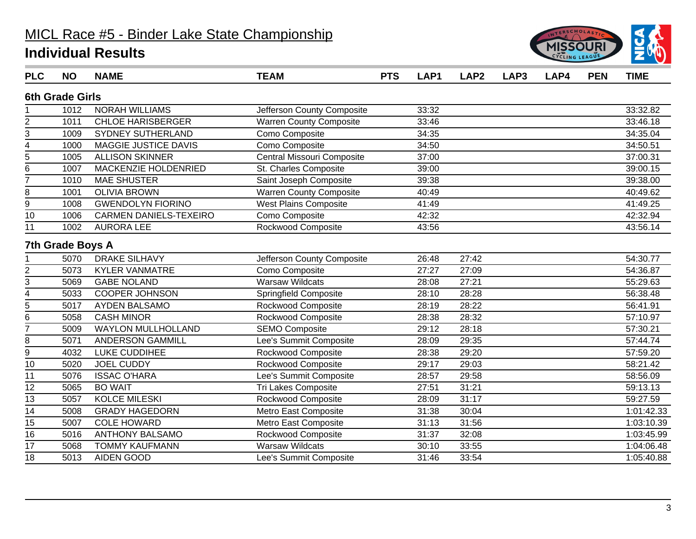

| <b>PLC</b>     | <b>NO</b>               | <b>NAME</b>                   | <b>TEAM</b>                    | <b>PTS</b> | LAP1  | LAP <sub>2</sub> | LAP3 | LAP4 | <b>PEN</b> | <b>TIME</b> |
|----------------|-------------------------|-------------------------------|--------------------------------|------------|-------|------------------|------|------|------------|-------------|
|                | <b>6th Grade Girls</b>  |                               |                                |            |       |                  |      |      |            |             |
|                | 1012                    | <b>NORAH WILLIAMS</b>         | Jefferson County Composite     |            | 33:32 |                  |      |      |            | 33:32.82    |
| $\overline{2}$ | 1011                    | <b>CHLOE HARISBERGER</b>      | <b>Warren County Composite</b> |            | 33:46 |                  |      |      |            | 33:46.18    |
| 3              | 1009                    | SYDNEY SUTHERLAND             | Como Composite                 |            | 34:35 |                  |      |      |            | 34:35.04    |
| 4              | 1000                    | MAGGIE JUSTICE DAVIS          | Como Composite                 |            | 34:50 |                  |      |      |            | 34:50.51    |
| $\overline{5}$ | 1005                    | <b>ALLISON SKINNER</b>        | Central Missouri Composite     |            | 37:00 |                  |      |      |            | 37:00.31    |
| 6              | 1007                    | MACKENZIE HOLDENRIED          | St. Charles Composite          |            | 39:00 |                  |      |      |            | 39:00.15    |
| 7              | 1010                    | <b>MAE SHUSTER</b>            | Saint Joseph Composite         |            | 39:38 |                  |      |      |            | 39:38.00    |
| 8              | 1001                    | <b>OLIVIA BROWN</b>           | <b>Warren County Composite</b> |            | 40:49 |                  |      |      |            | 40:49.62    |
| 9              | 1008                    | <b>GWENDOLYN FIORINO</b>      | <b>West Plains Composite</b>   |            | 41:49 |                  |      |      |            | 41:49.25    |
| 10             | 1006                    | <b>CARMEN DANIELS-TEXEIRO</b> | Como Composite                 |            | 42:32 |                  |      |      |            | 42:32.94    |
| 11             | 1002                    | <b>AURORA LEE</b>             | <b>Rockwood Composite</b>      |            | 43:56 |                  |      |      |            | 43:56.14    |
|                | <b>7th Grade Boys A</b> |                               |                                |            |       |                  |      |      |            |             |
|                | 5070                    | <b>DRAKE SILHAVY</b>          | Jefferson County Composite     |            | 26:48 | 27:42            |      |      |            | 54:30.77    |
| $\overline{c}$ | 5073                    | <b>KYLER VANMATRE</b>         | Como Composite                 |            | 27:27 | 27:09            |      |      |            | 54:36.87    |
| $\overline{3}$ | 5069                    | <b>GABE NOLAND</b>            | <b>Warsaw Wildcats</b>         |            | 28:08 | 27:21            |      |      |            | 55:29.63    |
| 4              | 5033                    | <b>COOPER JOHNSON</b>         | Springfield Composite          |            | 28:10 | 28:28            |      |      |            | 56:38.48    |
| 5              | 5017                    | <b>AYDEN BALSAMO</b>          | Rockwood Composite             |            | 28:19 | 28:22            |      |      |            | 56:41.91    |
| 6              | 5058                    | <b>CASH MINOR</b>             | Rockwood Composite             |            | 28:38 | 28:32            |      |      |            | 57:10.97    |
| $\overline{7}$ | 5009                    | <b>WAYLON MULLHOLLAND</b>     | <b>SEMO Composite</b>          |            | 29:12 | 28:18            |      |      |            | 57:30.21    |
| 8              | 5071                    | <b>ANDERSON GAMMILL</b>       | Lee's Summit Composite         |            | 28:09 | 29:35            |      |      |            | 57:44.74    |
| $\overline{9}$ | 4032                    | LUKE CUDDIHEE                 | Rockwood Composite             |            | 28:38 | 29:20            |      |      |            | 57:59.20    |
| 10             | 5020                    | <b>JOEL CUDDY</b>             | Rockwood Composite             |            | 29:17 | 29:03            |      |      |            | 58:21.42    |
| 11             | 5076                    | <b>ISSAC O'HARA</b>           | Lee's Summit Composite         |            | 28:57 | 29:58            |      |      |            | 58:56.09    |
| 12             | 5065                    | <b>BO WAIT</b>                | Tri Lakes Composite            |            | 27:51 | 31:21            |      |      |            | 59:13.13    |
| 13             | 5057                    | <b>KOLCE MILESKI</b>          | Rockwood Composite             |            | 28:09 | 31:17            |      |      |            | 59:27.59    |
| 14             | 5008                    | <b>GRADY HAGEDORN</b>         | Metro East Composite           |            | 31:38 | 30:04            |      |      |            | 1:01:42.33  |
| 15             | 5007                    | <b>COLE HOWARD</b>            | Metro East Composite           |            | 31:13 | 31:56            |      |      |            | 1:03:10.39  |
| 16             | 5016                    | <b>ANTHONY BALSAMO</b>        | Rockwood Composite             |            | 31:37 | 32:08            |      |      |            | 1:03:45.99  |
| 17             | 5068                    | <b>TOMMY KAUFMANN</b>         | <b>Warsaw Wildcats</b>         |            | 30:10 | 33:55            |      |      |            | 1:04:06.48  |
| 18             | 5013                    | AIDEN GOOD                    | Lee's Summit Composite         |            | 31:46 | 33:54            |      |      |            | 1:05:40.88  |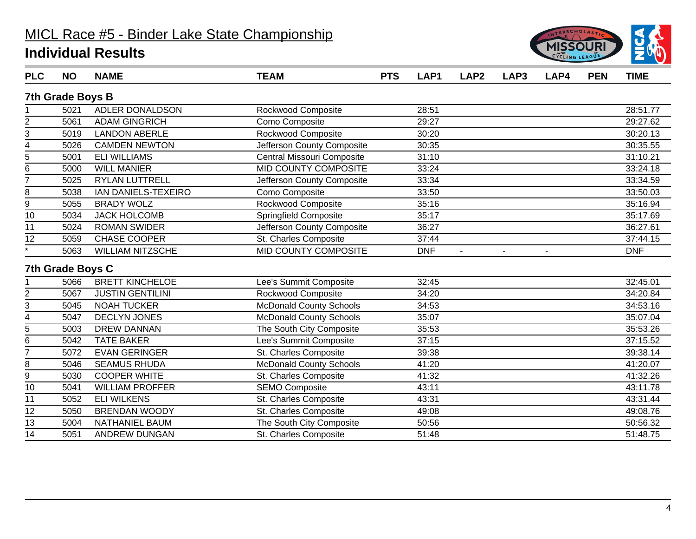

| <b>PLC</b>         | <b>NO</b>               | <b>NAME</b>             | <b>TEAM</b>                    | <b>PTS</b> | LAP1       | LAP <sub>2</sub> | LAP3 | LAP4 | <b>PEN</b> | <b>TIME</b> |
|--------------------|-------------------------|-------------------------|--------------------------------|------------|------------|------------------|------|------|------------|-------------|
|                    | <b>7th Grade Boys B</b> |                         |                                |            |            |                  |      |      |            |             |
|                    | 5021                    | ADLER DONALDSON         | Rockwood Composite             |            | 28:51      |                  |      |      |            | 28:51.77    |
| 2                  | 5061                    | <b>ADAM GINGRICH</b>    | Como Composite                 |            | 29:27      |                  |      |      |            | 29:27.62    |
| 3                  | 5019                    | <b>LANDON ABERLE</b>    | Rockwood Composite             |            | 30:20      |                  |      |      |            | 30:20.13    |
| 4                  | 5026                    | <b>CAMDEN NEWTON</b>    | Jefferson County Composite     |            | 30:35      |                  |      |      |            | 30:35.55    |
| 5                  | 5001                    | <b>ELI WILLIAMS</b>     | Central Missouri Composite     |            | 31:10      |                  |      |      |            | 31:10.21    |
| 6                  | 5000                    | <b>WILL MANIER</b>      | <b>MID COUNTY COMPOSITE</b>    |            | 33:24      |                  |      |      |            | 33:24.18    |
| $\overline{7}$     | 5025                    | <b>RYLAN LUTTRELL</b>   | Jefferson County Composite     |            | 33:34      |                  |      |      |            | 33:34.59    |
| 8                  | 5038                    | IAN DANIELS-TEXEIRO     | Como Composite                 |            | 33:50      |                  |      |      |            | 33:50.03    |
| 9                  | 5055                    | <b>BRADY WOLZ</b>       | Rockwood Composite             |            | 35:16      |                  |      |      |            | 35:16.94    |
| 10                 | 5034                    | <b>JACK HOLCOMB</b>     | Springfield Composite          |            | 35:17      |                  |      |      |            | 35:17.69    |
| 11                 | 5024                    | <b>ROMAN SWIDER</b>     | Jefferson County Composite     |            | 36:27      |                  |      |      |            | 36:27.61    |
| 12                 | 5059                    | <b>CHASE COOPER</b>     | St. Charles Composite          |            | 37:44      |                  |      |      |            | 37:44.15    |
| $\overline{\cdot}$ | 5063                    | <b>WILLIAM NITZSCHE</b> | MID COUNTY COMPOSITE           |            | <b>DNF</b> | $\blacksquare$   |      |      |            | <b>DNF</b>  |
|                    | 7th Grade Boys C        |                         |                                |            |            |                  |      |      |            |             |
|                    | 5066                    | <b>BRETT KINCHELOE</b>  | Lee's Summit Composite         |            | 32:45      |                  |      |      |            | 32:45.01    |
|                    | 5067                    | <b>JUSTIN GENTILINI</b> | Rockwood Composite             |            | 34:20      |                  |      |      |            | 34:20.84    |
| $rac{2}{3}$        | 5045                    | <b>NOAH TUCKER</b>      | <b>McDonald County Schools</b> |            | 34:53      |                  |      |      |            | 34:53.16    |
| 4                  | 5047                    | <b>DECLYN JONES</b>     | <b>McDonald County Schools</b> |            | 35:07      |                  |      |      |            | 35:07.04    |
| $\overline{5}$     | 5003                    | <b>DREW DANNAN</b>      | The South City Composite       |            | 35:53      |                  |      |      |            | 35:53.26    |
| 6                  | 5042                    | <b>TATE BAKER</b>       | Lee's Summit Composite         |            | 37:15      |                  |      |      |            | 37:15.52    |
| $\overline{7}$     | 5072                    | <b>EVAN GERINGER</b>    | St. Charles Composite          |            | 39:38      |                  |      |      |            | 39:38.14    |
| 8                  | 5046                    | <b>SEAMUS RHUDA</b>     | <b>McDonald County Schools</b> |            | 41:20      |                  |      |      |            | 41:20.07    |
| 9                  | 5030                    | <b>COOPER WHITE</b>     | St. Charles Composite          |            | 41:32      |                  |      |      |            | 41:32.26    |
| 10                 | 5041                    | <b>WILLIAM PROFFER</b>  | <b>SEMO Composite</b>          |            | 43:11      |                  |      |      |            | 43:11.78    |
| 11                 | 5052                    | <b>ELI WILKENS</b>      | St. Charles Composite          |            | 43:31      |                  |      |      |            | 43:31.44    |
| 12                 | 5050                    | <b>BRENDAN WOODY</b>    | St. Charles Composite          |            | 49:08      |                  |      |      |            | 49:08.76    |
| 13                 | 5004                    | <b>NATHANIEL BAUM</b>   | The South City Composite       |            | 50:56      |                  |      |      |            | 50:56.32    |
| 14                 | 5051                    | ANDREW DUNGAN           | St. Charles Composite          |            | 51:48      |                  |      |      |            | 51:48.75    |
|                    |                         |                         |                                |            |            |                  |      |      |            |             |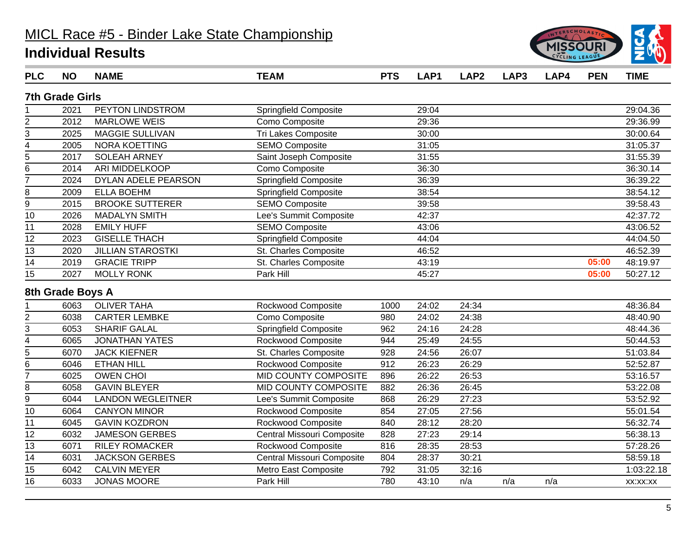

| <b>PLC</b>      | <b>NO</b>              | <b>NAME</b>              | <b>TEAM</b>                | <b>PTS</b> | LAP1  | LAP <sub>2</sub> | LAP3 | LAP4 | <b>PEN</b> | <b>TIME</b> |
|-----------------|------------------------|--------------------------|----------------------------|------------|-------|------------------|------|------|------------|-------------|
|                 | <b>7th Grade Girls</b> |                          |                            |            |       |                  |      |      |            |             |
|                 | 2021                   | PEYTON LINDSTROM         | Springfield Composite      |            | 29:04 |                  |      |      |            | 29:04.36    |
| $\overline{c}$  | 2012                   | <b>MARLOWE WEIS</b>      | Como Composite             |            | 29:36 |                  |      |      |            | 29:36.99    |
| $\overline{3}$  | 2025                   | <b>MAGGIE SULLIVAN</b>   | Tri Lakes Composite        |            | 30:00 |                  |      |      |            | 30:00.64    |
|                 | 2005                   | <b>NORA KOETTING</b>     | <b>SEMO Composite</b>      |            | 31:05 |                  |      |      |            | 31:05.37    |
| $\frac{4}{5}$   | 2017                   | <b>SOLEAH ARNEY</b>      | Saint Joseph Composite     |            | 31:55 |                  |      |      |            | 31:55.39    |
| 6               | 2014                   | ARI MIDDELKOOP           | Como Composite             |            | 36:30 |                  |      |      |            | 36:30.14    |
| $\overline{7}$  | 2024                   | DYLAN ADELE PEARSON      | Springfield Composite      |            | 36:39 |                  |      |      |            | 36:39.22    |
| 8               | 2009                   | <b>ELLA BOEHM</b>        | Springfield Composite      |            | 38:54 |                  |      |      |            | 38:54.12    |
| 9               | 2015                   | <b>BROOKE SUTTERER</b>   | <b>SEMO Composite</b>      |            | 39:58 |                  |      |      |            | 39:58.43    |
| 10              | 2026                   | <b>MADALYN SMITH</b>     | Lee's Summit Composite     |            | 42:37 |                  |      |      |            | 42:37.72    |
| 11              | 2028                   | <b>EMILY HUFF</b>        | <b>SEMO Composite</b>      |            | 43:06 |                  |      |      |            | 43:06.52    |
| $\overline{12}$ | 2023                   | <b>GISELLE THACH</b>     | Springfield Composite      |            | 44:04 |                  |      |      |            | 44:04.50    |
| $\overline{13}$ | 2020                   | <b>JILLIAN STAROSTKI</b> | St. Charles Composite      |            | 46:52 |                  |      |      |            | 46:52.39    |
| 14              | 2019                   | <b>GRACIE TRIPP</b>      | St. Charles Composite      |            | 43:19 |                  |      |      | 05:00      | 48:19.97    |
| 15              | 2027                   | <b>MOLLY RONK</b>        | Park Hill                  |            | 45:27 |                  |      |      | 05:00      | 50:27.12    |
|                 | 8th Grade Boys A       |                          |                            |            |       |                  |      |      |            |             |
|                 | 6063                   | <b>OLIVER TAHA</b>       | Rockwood Composite         | 1000       | 24:02 | 24:34            |      |      |            | 48:36.84    |
|                 | 6038                   | <b>CARTER LEMBKE</b>     | Como Composite             | 980        | 24:02 | 24:38            |      |      |            | 48:40.90    |
| $rac{2}{3}$     | 6053                   | <b>SHARIF GALAL</b>      | Springfield Composite      | 962        | 24:16 | 24:28            |      |      |            | 48:44.36    |
| $\overline{4}$  | 6065                   | <b>JONATHAN YATES</b>    | Rockwood Composite         | 944        | 25:49 | 24:55            |      |      |            | 50:44.53    |
| $\frac{1}{5}$   | 6070                   | <b>JACK KIEFNER</b>      | St. Charles Composite      | 928        | 24:56 | 26:07            |      |      |            | 51:03.84    |
| 6               | 6046                   | <b>ETHAN HILL</b>        | Rockwood Composite         | 912        | 26:23 | 26:29            |      |      |            | 52:52.87    |
| $\overline{7}$  | 6025                   | <b>OWEN CHOI</b>         | MID COUNTY COMPOSITE       | 896        | 26:22 | 26:53            |      |      |            | 53:16.57    |
| 8               | 6058                   | <b>GAVIN BLEYER</b>      | MID COUNTY COMPOSITE       | 882        | 26:36 | 26:45            |      |      |            | 53:22.08    |
| $\overline{9}$  | 6044                   | <b>LANDON WEGLEITNER</b> | Lee's Summit Composite     | 868        | 26:29 | 27:23            |      |      |            | 53:52.92    |
| 10              | 6064                   | <b>CANYON MINOR</b>      | Rockwood Composite         | 854        | 27:05 | 27:56            |      |      |            | 55:01.54    |
| 11              | 6045                   | <b>GAVIN KOZDRON</b>     | Rockwood Composite         | 840        | 28:12 | 28:20            |      |      |            | 56:32.74    |
| 12              | 6032                   | <b>JAMESON GERBES</b>    | Central Missouri Composite | 828        | 27:23 | 29:14            |      |      |            | 56:38.13    |
| 13              | 6071                   | <b>RILEY ROMACKER</b>    | Rockwood Composite         | 816        | 28:35 | 28:53            |      |      |            | 57:28.26    |
| 14              | 6031                   | <b>JACKSON GERBES</b>    | Central Missouri Composite | 804        | 28:37 | 30:21            |      |      |            | 58:59.18    |
| 15              | 6042                   | <b>CALVIN MEYER</b>      | Metro East Composite       | 792        | 31:05 | 32:16            |      |      |            | 1:03:22.18  |
| 16              | 6033                   | <b>JONAS MOORE</b>       | Park Hill                  | 780        | 43:10 | n/a              | n/a  | n/a  |            | XX:XX:XX    |
|                 |                        |                          |                            |            |       |                  |      |      |            |             |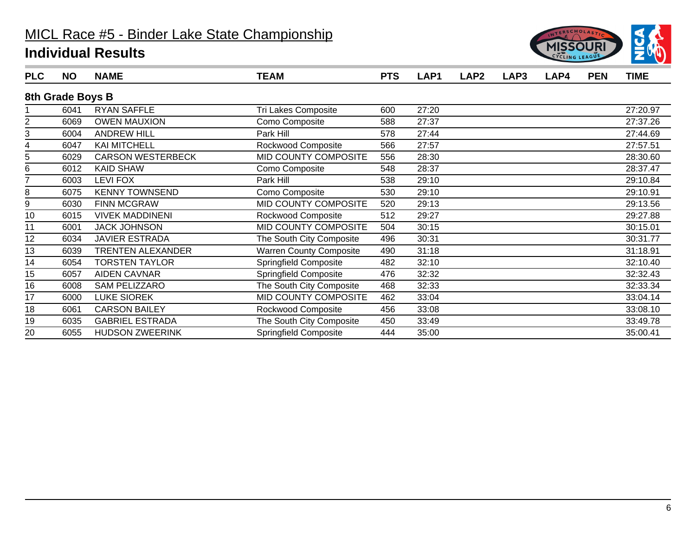

| <b>PLC</b> | <b>NO</b>        | <b>NAME</b>              | <b>TEAM</b>                    | <b>PTS</b> | LAP1  | LAP <sub>2</sub> | LAP3 | LAP4 | <b>PEN</b> | <b>TIME</b> |
|------------|------------------|--------------------------|--------------------------------|------------|-------|------------------|------|------|------------|-------------|
|            | 8th Grade Boys B |                          |                                |            |       |                  |      |      |            |             |
|            | 6041             | <b>RYAN SAFFLE</b>       | Tri Lakes Composite            | 600        | 27:20 |                  |      |      |            | 27:20.97    |
| 2          | 6069             | <b>OWEN MAUXION</b>      | Como Composite                 | 588        | 27:37 |                  |      |      |            | 27:37.26    |
| 3          | 6004             | <b>ANDREW HILL</b>       | Park Hill                      | 578        | 27:44 |                  |      |      |            | 27:44.69    |
|            | 6047             | <b>KAI MITCHELL</b>      | Rockwood Composite             | 566        | 27:57 |                  |      |      |            | 27:57.51    |
| 5          | 6029             | <b>CARSON WESTERBECK</b> | MID COUNTY COMPOSITE           | 556        | 28:30 |                  |      |      |            | 28:30.60    |
| 6          | 6012             | <b>KAID SHAW</b>         | Como Composite                 | 548        | 28:37 |                  |      |      |            | 28:37.47    |
| 7          | 6003             | <b>LEVI FOX</b>          | Park Hill                      | 538        | 29:10 |                  |      |      |            | 29:10.84    |
| 8          | 6075             | <b>KENNY TOWNSEND</b>    | Como Composite                 | 530        | 29:10 |                  |      |      |            | 29:10.91    |
| 9          | 6030             | <b>FINN MCGRAW</b>       | MID COUNTY COMPOSITE           | 520        | 29:13 |                  |      |      |            | 29:13.56    |
| 10         | 6015             | <b>VIVEK MADDINENI</b>   | Rockwood Composite             | 512        | 29:27 |                  |      |      |            | 29:27.88    |
| 11         | 6001             | <b>JACK JOHNSON</b>      | MID COUNTY COMPOSITE           | 504        | 30:15 |                  |      |      |            | 30:15.01    |
| 12         | 6034             | <b>JAVIER ESTRADA</b>    | The South City Composite       | 496        | 30:31 |                  |      |      |            | 30:31.77    |
| 13         | 6039             | <b>TRENTEN ALEXANDER</b> | <b>Warren County Composite</b> | 490        | 31:18 |                  |      |      |            | 31:18.91    |
| 14         | 6054             | <b>TORSTEN TAYLOR</b>    | <b>Springfield Composite</b>   | 482        | 32:10 |                  |      |      |            | 32:10.40    |
| 15         | 6057             | <b>AIDEN CAVNAR</b>      | Springfield Composite          | 476        | 32:32 |                  |      |      |            | 32:32.43    |
| 16         | 6008             | SAM PELIZZARO            | The South City Composite       | 468        | 32:33 |                  |      |      |            | 32:33.34    |
| 17         | 6000             | <b>LUKE SIOREK</b>       | MID COUNTY COMPOSITE           | 462        | 33:04 |                  |      |      |            | 33:04.14    |
| 18         | 6061             | <b>CARSON BAILEY</b>     | Rockwood Composite             | 456        | 33:08 |                  |      |      |            | 33:08.10    |
| 19         | 6035             | <b>GABRIEL ESTRADA</b>   | The South City Composite       | 450        | 33:49 |                  |      |      |            | 33:49.78    |
| 20         | 6055             | <b>HUDSON ZWEERINK</b>   | <b>Springfield Composite</b>   | 444        | 35:00 |                  |      |      |            | 35:00.41    |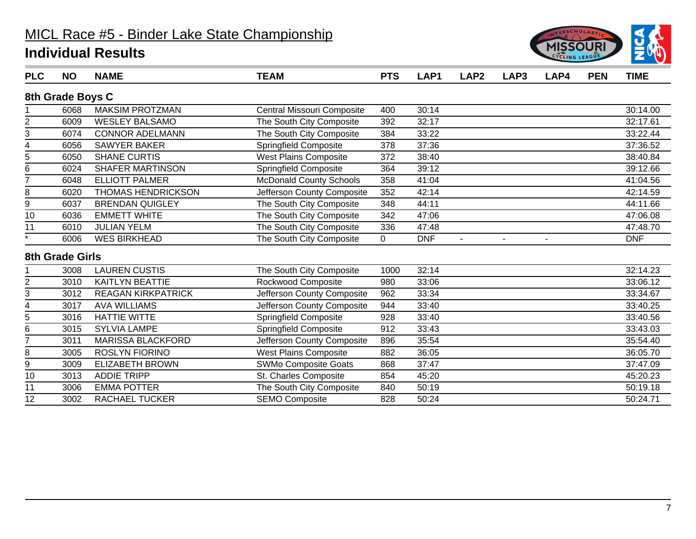

| <b>PLC</b>      | <b>NO</b>        | <b>NAME</b>               | <b>TEAM</b>                    | <b>PTS</b> | LAP <sub>1</sub> | LAP <sub>2</sub> | LAP3           | LAP4           | <b>PEN</b> | <b>TIME</b> |
|-----------------|------------------|---------------------------|--------------------------------|------------|------------------|------------------|----------------|----------------|------------|-------------|
|                 | 8th Grade Boys C |                           |                                |            |                  |                  |                |                |            |             |
|                 | 6068             | <b>MAKSIM PROTZMAN</b>    | Central Missouri Composite     | 400        | 30:14            |                  |                |                |            | 30:14.00    |
| $\overline{2}$  | 6009             | <b>WESLEY BALSAMO</b>     | The South City Composite       | 392        | 32:17            |                  |                |                |            | 32:17.61    |
| 3               | 6074             | <b>CONNOR ADELMANN</b>    | The South City Composite       | 384        | 33:22            |                  |                |                |            | 33:22.44    |
| 4               | 6056             | <b>SAWYER BAKER</b>       | Springfield Composite          | 378        | 37:36            |                  |                |                |            | 37:36.52    |
| 5               | 6050             | <b>SHANE CURTIS</b>       | <b>West Plains Composite</b>   | 372        | 38:40            |                  |                |                |            | 38:40.84    |
| 6               | 6024             | <b>SHAFER MARTINSON</b>   | <b>Springfield Composite</b>   | 364        | 39:12            |                  |                |                |            | 39:12.66    |
| 7               | 6048             | <b>ELLIOTT PALMER</b>     | <b>McDonald County Schools</b> | 358        | 41:04            |                  |                |                |            | 41:04.56    |
| 8               | 6020             | <b>THOMAS HENDRICKSON</b> | Jefferson County Composite     | 352        | 42:14            |                  |                |                |            | 42:14.59    |
| 9               | 6037             | <b>BRENDAN QUIGLEY</b>    | The South City Composite       | 348        | 44:11            |                  |                |                |            | 44:11.66    |
| 10              | 6036             | <b>EMMETT WHITE</b>       | The South City Composite       | 342        | 47:06            |                  |                |                |            | 47:06.08    |
| 11              | 6010             | <b>JULIAN YELM</b>        | The South City Composite       | 336        | 47:48            |                  |                |                |            | 47:48.70    |
| $\star$         | 6006             | <b>WES BIRKHEAD</b>       | The South City Composite       | 0          | <b>DNF</b>       | $\blacksquare$   | $\blacksquare$ | $\blacksquare$ |            | <b>DNF</b>  |
|                 | 8th Grade Girls  |                           |                                |            |                  |                  |                |                |            |             |
|                 | 3008             | <b>LAUREN CUSTIS</b>      | The South City Composite       | 1000       | 32:14            |                  |                |                |            | 32:14.23    |
| 2               | 3010             | <b>KAITLYN BEATTIE</b>    | Rockwood Composite             | 980        | 33:06            |                  |                |                |            | 33:06.12    |
| 3               | 3012             | <b>REAGAN KIRKPATRICK</b> | Jefferson County Composite     | 962        | 33:34            |                  |                |                |            | 33:34.67    |
| 4               | 3017             | <b>AVA WILLIAMS</b>       | Jefferson County Composite     | 944        | 33:40            |                  |                |                |            | 33:40.25    |
| 5               | 3016             | <b>HATTIE WITTE</b>       | <b>Springfield Composite</b>   | 928        | 33:40            |                  |                |                |            | 33:40.56    |
| 6               | 3015             | <b>SYLVIA LAMPE</b>       | <b>Springfield Composite</b>   | 912        | 33:43            |                  |                |                |            | 33:43.03    |
| 7               | 3011             | <b>MARISSA BLACKFORD</b>  | Jefferson County Composite     | 896        | 35:54            |                  |                |                |            | 35:54.40    |
| 8               | 3005             | <b>ROSLYN FIORINO</b>     | <b>West Plains Composite</b>   | 882        | 36:05            |                  |                |                |            | 36:05.70    |
| 9               | 3009             | <b>ELIZABETH BROWN</b>    | <b>SWMo Composite Goats</b>    | 868        | 37:47            |                  |                |                |            | 37:47.09    |
| 10              | 3013             | <b>ADDIE TRIPP</b>        | St. Charles Composite          | 854        | 45:20            |                  |                |                |            | 45:20.23    |
| 11              | 3006             | <b>EMMA POTTER</b>        | The South City Composite       | 840        | 50:19            |                  |                |                |            | 50:19.18    |
| $\overline{12}$ | 3002             | <b>RACHAEL TUCKER</b>     | <b>SEMO Composite</b>          | 828        | 50:24            |                  |                |                |            | 50:24.71    |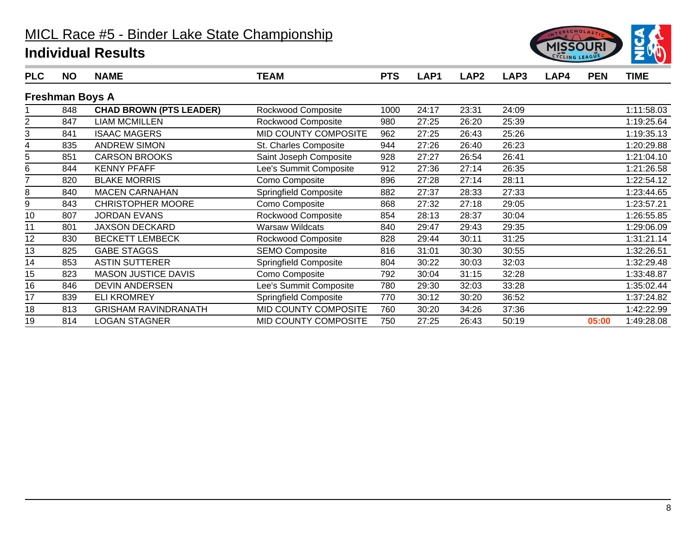

| <b>PLC</b> | <b>NO</b>              | <b>NAME</b>                    | <b>TEAM</b>                  | <b>PTS</b> | LAP1  | LAP <sub>2</sub> | LAP3  | LAP4 | <b>PEN</b> | <b>TIME</b> |
|------------|------------------------|--------------------------------|------------------------------|------------|-------|------------------|-------|------|------------|-------------|
|            | <b>Freshman Boys A</b> |                                |                              |            |       |                  |       |      |            |             |
|            | 848                    | <b>CHAD BROWN (PTS LEADER)</b> | Rockwood Composite           | 1000       | 24:17 | 23:31            | 24:09 |      |            | 1:11:58.03  |
| 2          | 847                    | <b>LIAM MCMILLEN</b>           | Rockwood Composite           | 980        | 27:25 | 26:20            | 25:39 |      |            | 1:19:25.64  |
| 3          | 841                    | <b>ISAAC MAGERS</b>            | MID COUNTY COMPOSITE         | 962        | 27:25 | 26:43            | 25:26 |      |            | 1:19:35.13  |
| 4          | 835                    | <b>ANDREW SIMON</b>            | St. Charles Composite        | 944        | 27:26 | 26:40            | 26:23 |      |            | 1:20:29.88  |
| 5          | 851                    | <b>CARSON BROOKS</b>           | Saint Joseph Composite       | 928        | 27:27 | 26:54            | 26:41 |      |            | 1:21:04.10  |
| 6          | 844                    | <b>KENNY PFAFF</b>             | Lee's Summit Composite       | 912        | 27:36 | 27:14            | 26:35 |      |            | 1:21:26.58  |
|            | 820                    | <b>BLAKE MORRIS</b>            | Como Composite               | 896        | 27:28 | 27:14            | 28:11 |      |            | 1:22:54.12  |
| 8          | 840                    | <b>MACEN CARNAHAN</b>          | <b>Springfield Composite</b> | 882        | 27:37 | 28:33            | 27:33 |      |            | 1:23:44.65  |
| 9          | 843                    | <b>CHRISTOPHER MOORE</b>       | Como Composite               | 868        | 27:32 | 27:18            | 29:05 |      |            | 1:23:57.21  |
| 10         | 807                    | <b>JORDAN EVANS</b>            | Rockwood Composite           | 854        | 28:13 | 28:37            | 30:04 |      |            | 1:26:55.85  |
| 11         | 801                    | <b>JAXSON DECKARD</b>          | <b>Warsaw Wildcats</b>       | 840        | 29:47 | 29:43            | 29:35 |      |            | 1:29:06.09  |
| 12         | 830                    | <b>BECKETT LEMBECK</b>         | Rockwood Composite           | 828        | 29:44 | 30:11            | 31:25 |      |            | 1:31:21.14  |
| 13         | 825                    | <b>GABE STAGGS</b>             | <b>SEMO Composite</b>        | 816        | 31:01 | 30:30            | 30:55 |      |            | 1:32:26.51  |
| 14         | 853                    | <b>ASTIN SUTTERER</b>          | Springfield Composite        | 804        | 30:22 | 30:03            | 32:03 |      |            | 1:32:29.48  |
| 15         | 823                    | <b>MASON JUSTICE DAVIS</b>     | Como Composite               | 792        | 30:04 | 31:15            | 32:28 |      |            | 1:33:48.87  |
| 16         | 846                    | <b>DEVIN ANDERSEN</b>          | Lee's Summit Composite       | 780        | 29:30 | 32:03            | 33:28 |      |            | 1:35:02.44  |
| 17         | 839                    | <b>ELI KROMREY</b>             | Springfield Composite        | 770        | 30:12 | 30:20            | 36:52 |      |            | 1:37:24.82  |
| 18         | 813                    | <b>GRISHAM RAVINDRANATH</b>    | MID COUNTY COMPOSITE         | 760        | 30:20 | 34:26            | 37:36 |      |            | 1:42:22.99  |
| 19         | 814                    | <b>LOGAN STAGNER</b>           | MID COUNTY COMPOSITE         | 750        | 27:25 | 26:43            | 50:19 |      | 05:00      | 1:49:28.08  |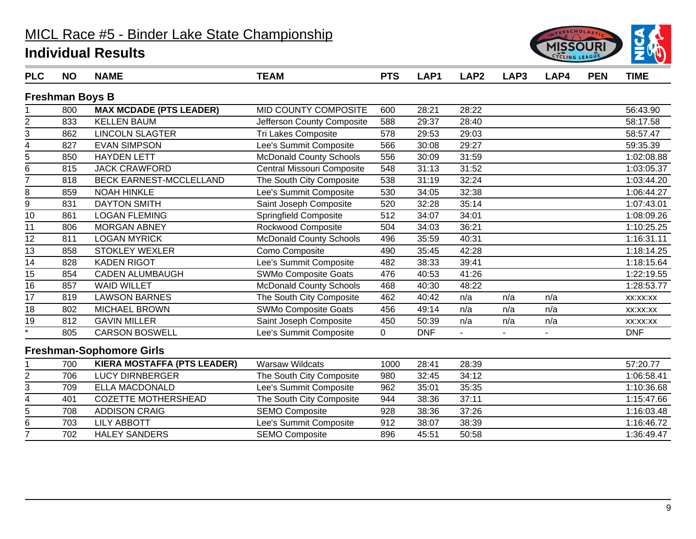

| <b>PLC</b>        | <b>NO</b>              | <b>NAME</b>                        | <b>TEAM</b>                    | <b>PTS</b>  | LAP1       | LAP <sub>2</sub> | LAP3 | LAP4 | <b>PEN</b> | <b>TIME</b> |
|-------------------|------------------------|------------------------------------|--------------------------------|-------------|------------|------------------|------|------|------------|-------------|
|                   | <b>Freshman Boys B</b> |                                    |                                |             |            |                  |      |      |            |             |
|                   | 800                    | <b>MAX MCDADE (PTS LEADER)</b>     | MID COUNTY COMPOSITE           | 600         | 28:21      | 28:22            |      |      |            | 56:43.90    |
| $\overline{c}$    | 833                    | <b>KELLEN BAUM</b>                 | Jefferson County Composite     | 588         | 29:37      | 28:40            |      |      |            | 58:17.58    |
| 3                 | 862                    | <b>LINCOLN SLAGTER</b>             | Tri Lakes Composite            | 578         | 29:53      | 29:03            |      |      |            | 58:57.47    |
| 4                 | 827                    | <b>EVAN SIMPSON</b>                | Lee's Summit Composite         | 566         | 30:08      | 29:27            |      |      |            | 59:35.39    |
| 5                 | 850                    | <b>HAYDEN LETT</b>                 | <b>McDonald County Schools</b> | 556         | 30:09      | 31:59            |      |      |            | 1:02:08.88  |
| 6                 | 815                    | <b>JACK CRAWFORD</b>               | Central Missouri Composite     | 548         | 31:13      | 31:52            |      |      |            | 1:03:05.37  |
| $\overline{7}$    | 818                    | <b>BECK EARNEST-MCCLELLAND</b>     | The South City Composite       | 538         | 31:19      | 32:24            |      |      |            | 1:03:44.20  |
| 8                 | 859                    | <b>NOAH HINKLE</b>                 | Lee's Summit Composite         | 530         | 34:05      | 32:38            |      |      |            | 1:06:44.27  |
| 9                 | 831                    | <b>DAYTON SMITH</b>                | Saint Joseph Composite         | 520         | 32:28      | 35:14            |      |      |            | 1:07:43.01  |
| 10                | 861                    | <b>LOGAN FLEMING</b>               | <b>Springfield Composite</b>   | 512         | 34:07      | 34:01            |      |      |            | 1:08:09.26  |
| 11                | 806                    | <b>MORGAN ABNEY</b>                | Rockwood Composite             | 504         | 34:03      | 36:21            |      |      |            | 1:10:25.25  |
| 12                | 811                    | <b>LOGAN MYRICK</b>                | <b>McDonald County Schools</b> | 496         | 35:59      | 40:31            |      |      |            | 1:16:31.11  |
| $\overline{13}$   | 858                    | <b>STOKLEY WEXLER</b>              | Como Composite                 | 490         | 35:45      | 42:28            |      |      |            | 1:18:14.25  |
| 14                | 828                    | <b>KADEN RIGOT</b>                 | Lee's Summit Composite         | 482         | 38:33      | 39:41            |      |      |            | 1:18:15.64  |
| 15                | 854                    | <b>CADEN ALUMBAUGH</b>             | <b>SWMo Composite Goats</b>    | 476         | 40:53      | 41:26            |      |      |            | 1:22:19.55  |
| 16                | 857                    | <b>WAID WILLET</b>                 | <b>McDonald County Schools</b> | 468         | 40:30      | 48:22            |      |      |            | 1:28:53.77  |
| $\overline{17}$   | 819                    | <b>LAWSON BARNES</b>               | The South City Composite       | 462         | 40:42      | n/a              | n/a  | n/a  |            | XX:XX:XX    |
| 18                | 802                    | <b>MICHAEL BROWN</b>               | <b>SWMo Composite Goats</b>    | 456         | 49:14      | n/a              | n/a  | n/a  |            | XX:XX:XX    |
| $\overline{19}$   | 812                    | <b>GAVIN MILLER</b>                | Saint Joseph Composite         | 450         | 50:39      | n/a              | n/a  | n/a  |            | XX:XX:XX    |
| $\overline{\ast}$ | 805                    | <b>CARSON BOSWELL</b>              | Lee's Summit Composite         | $\mathbf 0$ | <b>DNF</b> |                  |      |      |            | <b>DNF</b>  |
|                   |                        | <b>Freshman-Sophomore Girls</b>    |                                |             |            |                  |      |      |            |             |
|                   | 700                    | <b>KIERA MOSTAFFA (PTS LEADER)</b> | <b>Warsaw Wildcats</b>         | 1000        | 28:41      | 28:39            |      |      |            | 57:20.77    |
| $\overline{2}$    | 706                    | <b>LUCY DIRNBERGER</b>             | The South City Composite       | 980         | 32:45      | 34:12            |      |      |            | 1:06:58.41  |
| 3                 | 709                    | <b>ELLA MACDONALD</b>              | Lee's Summit Composite         | 962         | 35:01      | 35:35            |      |      |            | 1:10:36.68  |
| 4                 | 401                    | <b>COZETTE MOTHERSHEAD</b>         | The South City Composite       | 944         | 38:36      | 37:11            |      |      |            | 1:15:47.66  |
| 5                 | 708                    | <b>ADDISON CRAIG</b>               | <b>SEMO Composite</b>          | 928         | 38:36      | 37:26            |      |      |            | 1:16:03.48  |
| 6                 | 703                    | <b>LILY ABBOTT</b>                 | Lee's Summit Composite         | 912         | 38:07      | 38:39            |      |      |            | 1:16:46.72  |
| $\overline{7}$    | 702                    | <b>HALEY SANDERS</b>               | <b>SEMO Composite</b>          | 896         | 45:51      | 50:58            |      |      |            | 1:36:49.47  |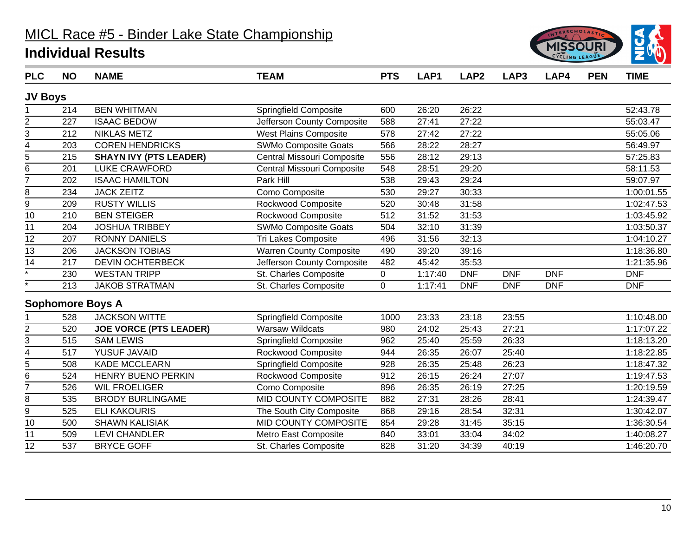

| <b>PLC</b>              | <b>NO</b> | <b>NAME</b>                   | <b>TEAM</b>                  | <b>PTS</b>  | LAP1    | LAP <sub>2</sub> | LAP3       | LAP4       | <b>PEN</b> | <b>TIME</b> |
|-------------------------|-----------|-------------------------------|------------------------------|-------------|---------|------------------|------------|------------|------------|-------------|
| <b>JV Boys</b>          |           |                               |                              |             |         |                  |            |            |            |             |
|                         | 214       | <b>BEN WHITMAN</b>            | <b>Springfield Composite</b> | 600         | 26:20   | 26:22            |            |            |            | 52:43.78    |
| $\overline{\mathbf{c}}$ | 227       | <b>ISAAC BEDOW</b>            | Jefferson County Composite   | 588         | 27:41   | 27:22            |            |            |            | 55:03.47    |
| 3                       | 212       | <b>NIKLAS METZ</b>            | <b>West Plains Composite</b> | 578         | 27:42   | 27:22            |            |            |            | 55:05.06    |
| 4                       | 203       | <b>COREN HENDRICKS</b>        | <b>SWMo Composite Goats</b>  | 566         | 28:22   | 28:27            |            |            |            | 56:49.97    |
| 5                       | 215       | <b>SHAYN IVY (PTS LEADER)</b> | Central Missouri Composite   | 556         | 28:12   | 29:13            |            |            |            | 57:25.83    |
| $\overline{6}$          | 201       | <b>LUKE CRAWFORD</b>          | Central Missouri Composite   | 548         | 28:51   | 29:20            |            |            |            | 58:11.53    |
| $\overline{7}$          | 202       | <b>ISAAC HAMILTON</b>         | Park Hill                    | 538         | 29:43   | 29:24            |            |            |            | 59:07.97    |
| 8                       | 234       | <b>JACK ZEITZ</b>             | Como Composite               | 530         | 29:27   | 30:33            |            |            |            | 1:00:01.55  |
| 9                       | 209       | <b>RUSTY WILLIS</b>           | Rockwood Composite           | 520         | 30:48   | 31:58            |            |            |            | 1:02:47.53  |
| 10                      | 210       | <b>BEN STEIGER</b>            | Rockwood Composite           | 512         | 31:52   | 31:53            |            |            |            | 1:03:45.92  |
| 11                      | 204       | <b>JOSHUA TRIBBEY</b>         | <b>SWMo Composite Goats</b>  | 504         | 32:10   | 31:39            |            |            |            | 1:03:50.37  |
| $\overline{12}$         | 207       | <b>RONNY DANIELS</b>          | Tri Lakes Composite          | 496         | 31:56   | 32:13            |            |            |            | 1:04:10.27  |
| $\overline{13}$         | 206       | <b>JACKSON TOBIAS</b>         | Warren County Composite      | 490         | 39:20   | 39:16            |            |            |            | 1:18:36.80  |
| 14                      | 217       | <b>DEVIN OCHTERBECK</b>       | Jefferson County Composite   | 482         | 45:42   | 35:53            |            |            |            | 1:21:35.96  |
| $\overline{\ast}$       | 230       | <b>WESTAN TRIPP</b>           | St. Charles Composite        | 0           | 1:17:40 | <b>DNF</b>       | <b>DNF</b> | <b>DNF</b> |            | <b>DNF</b>  |
| $\star$                 | 213       | <b>JAKOB STRATMAN</b>         | St. Charles Composite        | $\mathbf 0$ | 1:17:41 | <b>DNF</b>       | <b>DNF</b> | <b>DNF</b> |            | <b>DNF</b>  |
|                         |           | <b>Sophomore Boys A</b>       |                              |             |         |                  |            |            |            |             |
|                         | 528       | <b>JACKSON WITTE</b>          | <b>Springfield Composite</b> | 1000        | 23:33   | 23:18            | 23:55      |            |            | 1:10:48.00  |
| $\overline{c}$          | 520       | <b>JOE VORCE (PTS LEADER)</b> | <b>Warsaw Wildcats</b>       | 980         | 24:02   | 25:43            | 27:21      |            |            | 1:17:07.22  |
| 3                       | 515       | <b>SAM LEWIS</b>              | Springfield Composite        | 962         | 25:40   | 25:59            | 26:33      |            |            | 1:18:13.20  |
| $\overline{4}$          | 517       | YUSUF JAVAID                  | Rockwood Composite           | 944         | 26:35   | 26:07            | 25:40      |            |            | 1:18:22.85  |
| 5                       | 508       | <b>KADE MCCLEARN</b>          | Springfield Composite        | 928         | 26:35   | 25:48            | 26:23      |            |            | 1:18:47.32  |
| 6                       | 524       | HENRY BUENO PERKIN            | Rockwood Composite           | 912         | 26:15   | 26:24            | 27:07      |            |            | 1:19:47.53  |
| $\overline{7}$          | 526       | <b>WIL FROELIGER</b>          | Como Composite               | 896         | 26:35   | 26:19            | 27:25      |            |            | 1:20:19.59  |
| 8                       | 535       | <b>BRODY BURLINGAME</b>       | MID COUNTY COMPOSITE         | 882         | 27:31   | 28:26            | 28:41      |            |            | 1:24:39.47  |
| 9                       | 525       | <b>ELI KAKOURIS</b>           | The South City Composite     | 868         | 29:16   | 28:54            | 32:31      |            |            | 1:30:42.07  |
| $\overline{10}$         | 500       | <b>SHAWN KALISIAK</b>         | <b>MID COUNTY COMPOSITE</b>  | 854         | 29:28   | 31:45            | 35:15      |            |            | 1:36:30.54  |
| 11                      | 509       | <b>LEVI CHANDLER</b>          | Metro East Composite         | 840         | 33:01   | 33:04            | 34:02      |            |            | 1:40:08.27  |
| $\overline{12}$         | 537       | <b>BRYCE GOFF</b>             | St. Charles Composite        | 828         | 31:20   | 34:39            | 40:19      |            |            | 1:46:20.70  |